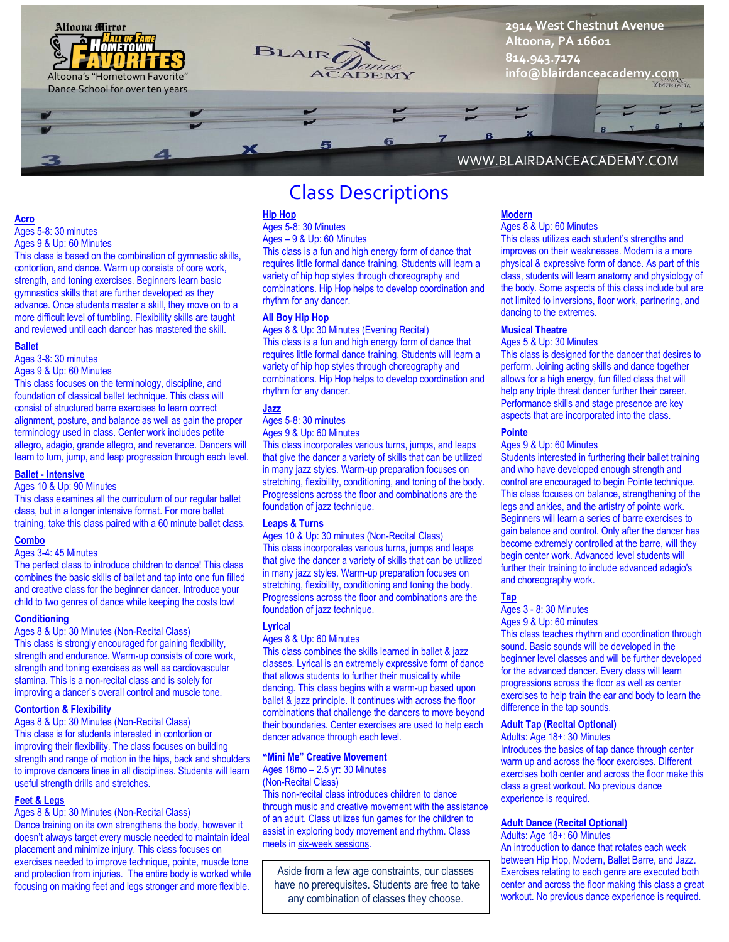

# **Acro**

Ages 5-8: 30 minutes Ages 9 & Up: 60 Minutes

This class is based on the combination of gymnastic skills, contortion, and dance. Warm up consists of core work, strength, and toning exercises. Beginners learn basic gymnastics skills that are further developed as they advance. Once students master a skill, they move on to a more difficult level of tumbling. Flexibility skills are taught and reviewed until each dancer has mastered the skill.

#### **Ballet**

Ages 3-8: 30 minutes

Ages 9 & Up: 60 Minutes

This class focuses on the terminology, discipline, and foundation of classical ballet technique. This class will consist of structured barre exercises to learn correct alignment, posture, and balance as well as gain the proper terminology used in class. Center work includes petite allegro, adagio, grande allegro, and reverance. Dancers will learn to turn, jump, and leap progression through each level.

### **Ballet - Intensive**

Ages 10 & Up: 90 Minutes

This class examines all the curriculum of our regular ballet class, but in a longer intensive format. For more ballet training, take this class paired with a 60 minute ballet class.

#### **Combo**

Ages 3-4: 45 Minutes

The perfect class to introduce children to dance! This class combines the basic skills of ballet and tap into one fun filled and creative class for the beginner dancer. Introduce your child to two genres of dance while keeping the costs low!

#### **Conditioning**

Ages 8 & Up: 30 Minutes (Non-Recital Class) This class is strongly encouraged for gaining flexibility, strength and endurance. Warm-up consists of core work, strength and toning exercises as well as cardiovascular stamina. This is a non-recital class and is solely for improving a dancer's overall control and muscle tone.

#### **Contortion & Flexibility**

Ages 8 & Up: 30 Minutes (Non-Recital Class) This class is for students interested in contortion or improving their flexibility. The class focuses on building strength and range of motion in the hips, back and shoulders to improve dancers lines in all disciplines. Students will learn useful strength drills and stretches.

#### **Feet & Legs**

Ages 8 & Up: 30 Minutes (Non-Recital Class)

Dance training on its own strengthens the body, however it doesn't always target every muscle needed to maintain ideal placement and minimize injury. This class focuses on exercises needed to improve technique, pointe, muscle tone and protection from injuries. The entire body is worked while focusing on making feet and legs stronger and more flexible.

# Class Descriptions

#### **Hip Hop**

Ages 5-8: 30 Minutes Ages – 9 & Up: 60 Minutes This class is a fun and high energy form of dance that

requires little formal dance training. Students will learn a variety of hip hop styles through choreography and combinations. Hip Hop helps to develop coordination and rhythm for any dancer.

#### **All Boy Hip Hop**

Ages 8 & Up: 30 Minutes (Evening Recital) This class is a fun and high energy form of dance that requires little formal dance training. Students will learn a variety of hip hop styles through choreography and combinations. Hip Hop helps to develop coordination and rhythm for any dancer.

#### **Jazz**

Ages 5-8: 30 minutes

Ages 9 & Up: 60 Minutes

This class incorporates various turns, jumps, and leaps that give the dancer a variety of skills that can be utilized in many jazz styles. Warm-up preparation focuses on stretching, flexibility, conditioning, and toning of the body. Progressions across the floor and combinations are the foundation of jazz technique.

#### **Leaps & Turns**

Ages 10 & Up: 30 minutes (Non-Recital Class) This class incorporates various turns, jumps and leaps that give the dancer a variety of skills that can be utilized in many jazz styles. Warm-up preparation focuses on stretching, flexibility, conditioning and toning the body. Progressions across the floor and combinations are the foundation of jazz technique.

#### **Lyrical**

Ages 8 & Up: 60 Minutes

This class combines the skills learned in ballet & jazz classes. Lyrical is an extremely expressive form of dance that allows students to further their musicality while dancing. This class begins with a warm-up based upon ballet & jazz principle. It continues with across the floor combinations that challenge the dancers to move beyond their boundaries. Center exercises are used to help each dancer advance through each level.

#### **"Mini Me" Creative Movement**

Ages 18mo – 2.5 yr: 30 Minutes (Non-Recital Class) This non-recital class introduces children to dance through music and creative movement with the assistance of an adult. Class utilizes fun games for the children to assist in exploring body movement and rhythm. Class meets in six-week sessions.

Aside from a few age constraints, our classes have no prerequisites. Students are free to take any combination of classes they choose.

# WWW.BLAIRDANCEACADEMY.COM

#### **Modern** Ages 8 & Up: 60 Minutes

This class utilizes each student's strengths and improves on their weaknesses. Modern is a more physical & expressive form of dance. As part of this class, students will learn anatomy and physiology of the body. Some aspects of this class include but are not limited to inversions, floor work, partnering, and dancing to the extremes.

#### **Musical Theatre**

#### Ages 5 & Up: 30 Minutes

This class is designed for the dancer that desires to perform. Joining acting skills and dance together allows for a high energy, fun filled class that will help any triple threat dancer further their career. Performance skills and stage presence are key aspects that are incorporated into the class.

#### **Pointe**

#### Ages 9 & Up: 60 Minutes

Students interested in furthering their ballet training and who have developed enough strength and control are encouraged to begin Pointe technique. This class focuses on balance, strengthening of the legs and ankles, and the artistry of pointe work. Beginners will learn a series of barre exercises to gain balance and control. Only after the dancer has become extremely controlled at the barre, will they begin center work. Advanced level students will further their training to include advanced adagio's and choreography work.

**Tap**

# Ages 3 - 8: 30 Minutes

Ages 9 & Up: 60 minutes This class teaches rhythm and coordination through sound. Basic sounds will be developed in the beginner level classes and will be further developed for the advanced dancer. Every class will learn progressions across the floor as well as center exercises to help train the ear and body to learn the difference in the tap sounds.

#### **Adult Tap (Recital Optional)**

Adults: Age 18+: 30 Minutes Introduces the basics of tap dance through center warm up and across the floor exercises. Different exercises both center and across the floor make this class a great workout. No previous dance experience is required.

#### **Adult Dance (Recital Optional)**

Adults: Age 18+: 60 Minutes An introduction to dance that rotates each week between Hip Hop, Modern, Ballet Barre, and Jazz. Exercises relating to each genre are executed both center and across the floor making this class a great workout. No previous dance experience is required.